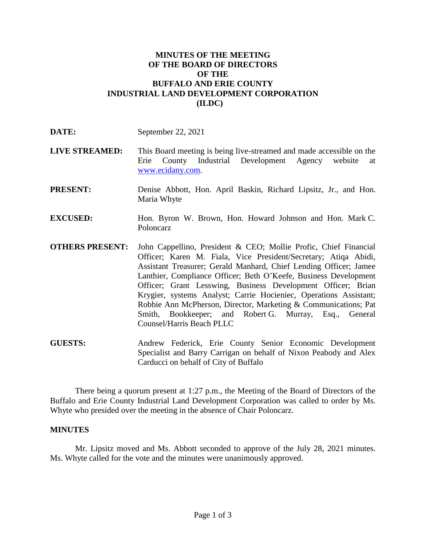## **MINUTES OF THE MEETING OF THE BOARD OF DIRECTORS OF THE BUFFALO AND ERIE COUNTY INDUSTRIAL LAND DEVELOPMENT CORPORATION (ILDC)**

| DATE:                  | September 22, 2021                                                                                                                                                                                                                                                                                                                                                                                                                                                                                                                                                          |
|------------------------|-----------------------------------------------------------------------------------------------------------------------------------------------------------------------------------------------------------------------------------------------------------------------------------------------------------------------------------------------------------------------------------------------------------------------------------------------------------------------------------------------------------------------------------------------------------------------------|
| <b>LIVE STREAMED:</b>  | This Board meeting is being live-streamed and made accessible on the<br>County Industrial Development Agency website<br>Erie<br>at<br>www.ecidany.com.                                                                                                                                                                                                                                                                                                                                                                                                                      |
| <b>PRESENT:</b>        | Denise Abbott, Hon. April Baskin, Richard Lipsitz, Jr., and Hon.<br>Maria Whyte                                                                                                                                                                                                                                                                                                                                                                                                                                                                                             |
| <b>EXCUSED:</b>        | Hon. Byron W. Brown, Hon. Howard Johnson and Hon. Mark C.<br>Poloncarz                                                                                                                                                                                                                                                                                                                                                                                                                                                                                                      |
| <b>OTHERS PRESENT:</b> | John Cappellino, President & CEO; Mollie Profic, Chief Financial<br>Officer; Karen M. Fiala, Vice President/Secretary; Atiqa Abidi,<br>Assistant Treasurer; Gerald Manhard, Chief Lending Officer; Jamee<br>Lanthier, Compliance Officer; Beth O'Keefe, Business Development<br>Officer; Grant Lesswing, Business Development Officer; Brian<br>Krygier, systems Analyst; Carrie Hocieniec, Operations Assistant;<br>Robbie Ann McPherson, Director, Marketing & Communications; Pat<br>Smith, Bookkeeper; and Robert G. Murray, Esq., General<br>Counsel/Harris Beach PLLC |

**GUESTS:** Andrew Federick, Erie County Senior Economic Development Specialist and Barry Carrigan on behalf of Nixon Peabody and Alex Carducci on behalf of City of Buffalo

There being a quorum present at 1:27 p.m., the Meeting of the Board of Directors of the Buffalo and Erie County Industrial Land Development Corporation was called to order by Ms. Whyte who presided over the meeting in the absence of Chair Poloncarz.

## **MINUTES**

Mr. Lipsitz moved and Ms. Abbott seconded to approve of the July 28, 2021 minutes. Ms. Whyte called for the vote and the minutes were unanimously approved.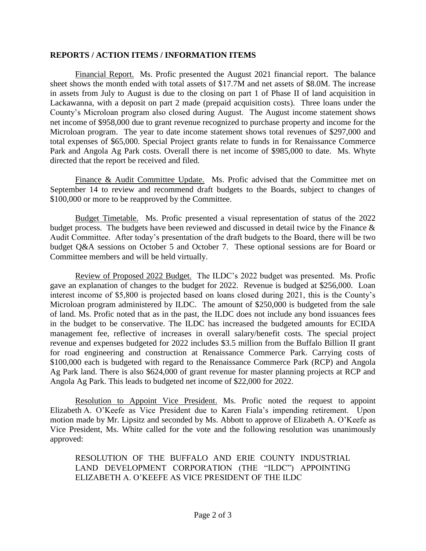## **REPORTS / ACTION ITEMS / INFORMATION ITEMS**

Financial Report. Ms. Profic presented the August 2021 financial report. The balance sheet shows the month ended with total assets of \$17.7M and net assets of \$8.0M. The increase in assets from July to August is due to the closing on part 1 of Phase II of land acquisition in Lackawanna, with a deposit on part 2 made (prepaid acquisition costs). Three loans under the County's Microloan program also closed during August. The August income statement shows net income of \$958,000 due to grant revenue recognized to purchase property and income for the Microloan program. The year to date income statement shows total revenues of \$297,000 and total expenses of \$65,000. Special Project grants relate to funds in for Renaissance Commerce Park and Angola Ag Park costs. Overall there is net income of \$985,000 to date. Ms. Whyte directed that the report be received and filed.

Finance & Audit Committee Update. Ms. Profic advised that the Committee met on September 14 to review and recommend draft budgets to the Boards, subject to changes of \$100,000 or more to be reapproved by the Committee.

Budget Timetable. Ms. Profic presented a visual representation of status of the 2022 budget process. The budgets have been reviewed and discussed in detail twice by the Finance & Audit Committee. After today's presentation of the draft budgets to the Board, there will be two budget Q&A sessions on October 5 and October 7. These optional sessions are for Board or Committee members and will be held virtually.

Review of Proposed 2022 Budget. The ILDC's 2022 budget was presented. Ms. Profic gave an explanation of changes to the budget for 2022. Revenue is budged at \$256,000. Loan interest income of \$5,800 is projected based on loans closed during 2021, this is the County's Microloan program administered by ILDC. The amount of \$250,000 is budgeted from the sale of land. Ms. Profic noted that as in the past, the ILDC does not include any bond issuances fees in the budget to be conservative. The ILDC has increased the budgeted amounts for ECIDA management fee, reflective of increases in overall salary/benefit costs. The special project revenue and expenses budgeted for 2022 includes \$3.5 million from the Buffalo Billion II grant for road engineering and construction at Renaissance Commerce Park. Carrying costs of \$100,000 each is budgeted with regard to the Renaissance Commerce Park (RCP) and Angola Ag Park land. There is also \$624,000 of grant revenue for master planning projects at RCP and Angola Ag Park. This leads to budgeted net income of \$22,000 for 2022.

Resolution to Appoint Vice President. Ms. Profic noted the request to appoint Elizabeth A. O'Keefe as Vice President due to Karen Fiala's impending retirement. Upon motion made by Mr. Lipsitz and seconded by Ms. Abbott to approve of Elizabeth A. O'Keefe as Vice President, Ms. White called for the vote and the following resolution was unanimously approved:

RESOLUTION OF THE BUFFALO AND ERIE COUNTY INDUSTRIAL LAND DEVELOPMENT CORPORATION (THE "ILDC") APPOINTING ELIZABETH A. O'KEEFE AS VICE PRESIDENT OF THE ILDC